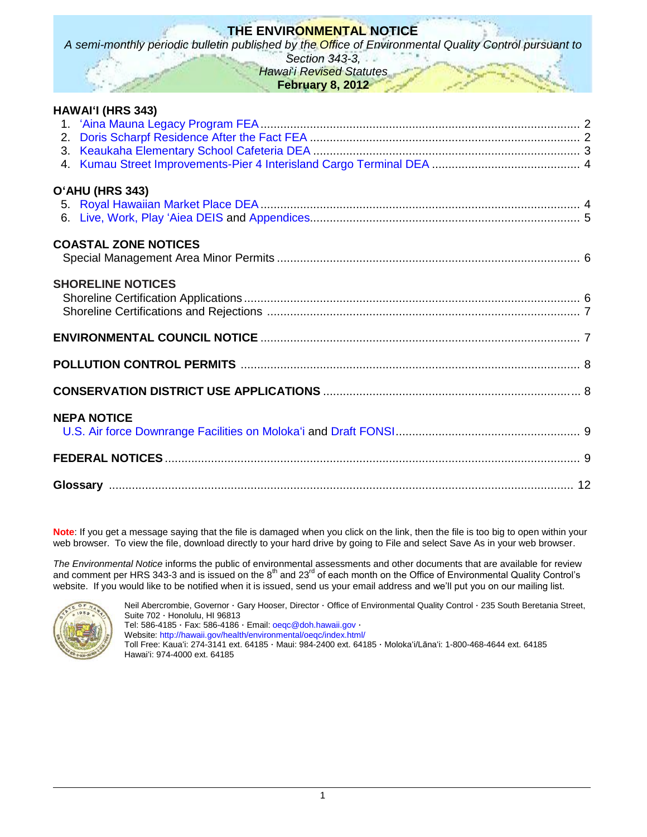# **THE ENVIRONMENTAL NOTICE**

*A semi-monthly periodic bulletin published by the Office of Environmental Quality Control pursuant to* 

*Section 343-3, Hawai*'*i Revised Statutes*

**February 8, 2012**

| HAWAI'I (HRS 343)           |  |
|-----------------------------|--|
|                             |  |
|                             |  |
|                             |  |
|                             |  |
| O'AHU (HRS 343)             |  |
|                             |  |
|                             |  |
| <b>COASTAL ZONE NOTICES</b> |  |
|                             |  |
| <b>SHORELINE NOTICES</b>    |  |
|                             |  |
|                             |  |
|                             |  |
|                             |  |
|                             |  |
| <b>NEPA NOTICE</b>          |  |
|                             |  |
|                             |  |
|                             |  |
|                             |  |

**Note**: If you get a message saying that the file is damaged when you click on the link, then the file is too big to open within your web browser. To view the file, download directly to your hard drive by going to File and select Save As in your web browser.

*The Environmental Notice* informs the public of environmental assessments and other documents that are available for review and comment per HRS 343-3 and is issued on the 8<sup>th</sup> and 23<sup>rd</sup> of each month on the Office of Environmental Quality Control's website. If you would like to be notified when it is issued, send us your email address and we'll put you on our mailing list.



Neil Abercrombie, Governor · Gary Hooser, Director · Office of Environmental Quality Control · 235 South Beretania Street, Suite 702 · Honolulu, HI 96813 Tel: 586-4185 · Fax: 586-4186 · Email: [oeqc@doh.hawaii.gov](mailto:oeqc@doh.hawaii.gov) · Website:<http://hawaii.gov/health/environmental/oeqc/index.html/>

Toll Free: Kauaʻi: 274-3141 ext. 64185 · Maui: 984-2400 ext. 64185 · Molokaʻi/Lānaʻi: 1-800-468-4644 ext. 64185 Hawaiʻi: 974-4000 ext. 64185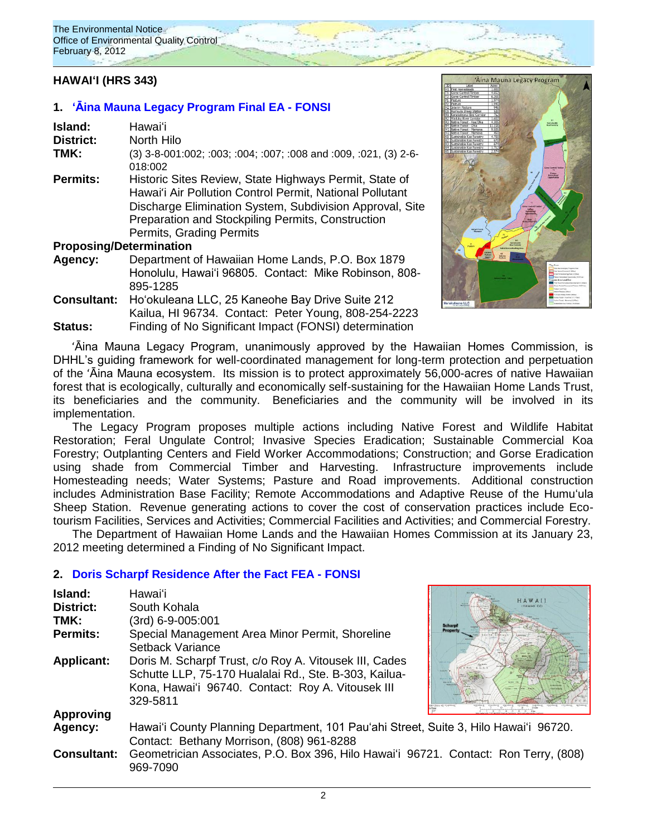# **HAWAIʻI (HRS 343)**

### **1. ʻᾹina [Mauna Legacy Program Final EA -](http://oeqc.doh.hawaii.gov/Shared%20Documents/EA_and_EIS_Online_Library/Hawaii/2010s/2012-02-23-FEA-Aina-Mauna-Legacy-Program.pdf) FONSI**

| Hawai'i                                                                                                                                                                                                                                                         |
|-----------------------------------------------------------------------------------------------------------------------------------------------------------------------------------------------------------------------------------------------------------------|
| North Hilo                                                                                                                                                                                                                                                      |
| (3) 3-8-001:002; :003; :004; :007; :008 and :009, :021, (3) 2-6-<br>018:002                                                                                                                                                                                     |
| Historic Sites Review, State Highways Permit, State of<br>Hawai'i Air Pollution Control Permit, National Pollutant<br>Discharge Elimination System, Subdivision Approval, Site<br>Preparation and Stockpiling Permits, Construction<br>Permits, Grading Permits |
| <b>Proposing/Determination</b>                                                                                                                                                                                                                                  |
|                                                                                                                                                                                                                                                                 |

# **Agency:** Department of Hawaiian Home Lands, P.O. Box 1879 Honolulu, Hawaiʻi 96805. Contact: Mike Robinson, 808- 895-1285

**Consultant:** Hoʻokuleana LLC, 25 Kaneohe Bay Drive Suite 212 Kailua, HI 96734. Contact: Peter Young, 808-254-2223 **Status:** Finding of No Significant Impact (FONSI) determination



ʻĀina Mauna Legacy Program, unanimously approved by the Hawaiian Homes Commission, is DHHL's guiding framework for well-coordinated management for long-term protection and perpetuation of the ʻĀina Mauna ecosystem. Its mission is to protect approximately 56,000-acres of native Hawaiian forest that is ecologically, culturally and economically self-sustaining for the Hawaiian Home Lands Trust, its beneficiaries and the community. Beneficiaries and the community will be involved in its implementation.

The Legacy Program proposes multiple actions including Native Forest and Wildlife Habitat Restoration; Feral Ungulate Control; Invasive Species Eradication; Sustainable Commercial Koa Forestry; Outplanting Centers and Field Worker Accommodations; Construction; and Gorse Eradication using shade from Commercial Timber and Harvesting. Infrastructure improvements include Homesteading needs; Water Systems; Pasture and Road improvements. Additional construction includes Administration Base Facility; Remote Accommodations and Adaptive Reuse of the Humuʻula Sheep Station. Revenue generating actions to cover the cost of conservation practices include Ecotourism Facilities, Services and Activities; Commercial Facilities and Activities; and Commercial Forestry.

The Department of Hawaiian Home Lands and the Hawaiian Homes Commission at its January 23, 2012 meeting determined a Finding of No Significant Impact.

### **2. [Doris Scharpf Residence After the Fact FEA](http://oeqc.doh.hawaii.gov/Shared%20Documents/EA_and_EIS_Online_Library/Hawaii/2010s/2012-02-08-FEA-Doris-Scharpf-Residence-After-the-Fact-Shoreline-Setback-Permit.pdf) - FONSI**

| Island:            | Hawaiʻi                                                                                          |         |
|--------------------|--------------------------------------------------------------------------------------------------|---------|
| District:          | South Kohala                                                                                     |         |
| TMK:               | (3rd) 6-9-005:001                                                                                |         |
| <b>Permits:</b>    | Special Management Area Minor Permit, Shoreline                                                  | Propert |
|                    | Setback Variance                                                                                 |         |
| <b>Applicant:</b>  | Doris M. Scharpf Trust, c/o Roy A. Vitousek III, Cades                                           |         |
|                    | Schutte LLP, 75-170 Hualalai Rd., Ste. B-303, Kailua-                                            |         |
|                    | Kona, Hawai'i 96740. Contact: Roy A. Vitousek III                                                |         |
|                    | 329-5811                                                                                         |         |
| <b>Approving</b>   |                                                                                                  |         |
| Agency:            | Hawai'i County Planning Department, 101 Pau'ahi Street, Suite 3, Hilo Hawai'i 96720.             |         |
|                    | Contact: Bethany Morrison, (808) 961-8288                                                        |         |
| <b>Consultant:</b> | Geometrician Associates, P.O. Box 396, Hilo Hawai'i 96721. Contact: Ron Terry, (808)<br>969-7090 |         |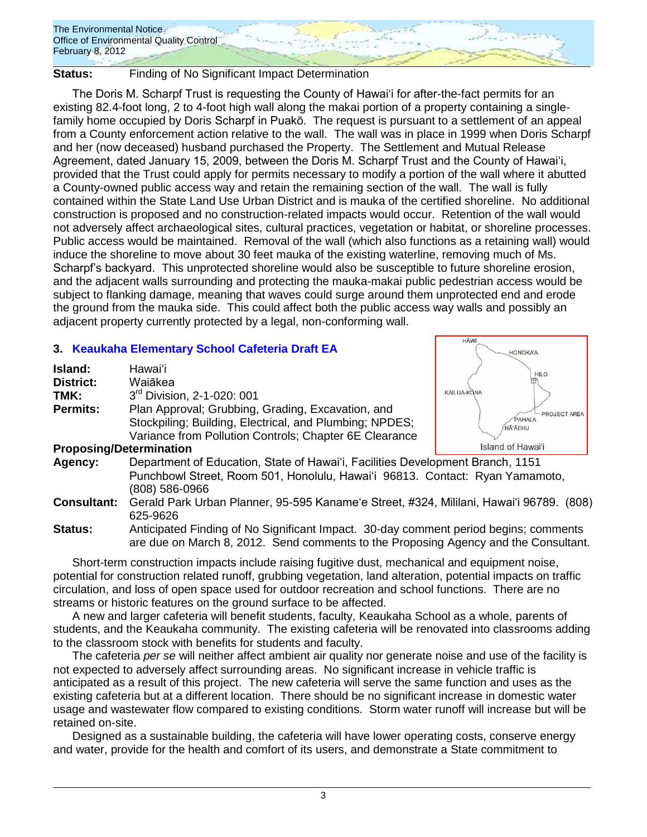

**Status:** Finding of No Significant Impact Determination

The Doris M. Scharpf Trust is requesting the County of Hawai'i for after-the-fact permits for an existing 82.4-foot long, 2 to 4-foot high wall along the makai portion of a property containing a singlefamily home occupied by Doris Scharpf in Puakō. The request is pursuant to a settlement of an appeal from a County enforcement action relative to the wall. The wall was in place in 1999 when Doris Scharpf and her (now deceased) husband purchased the Property. The Settlement and Mutual Release Agreement, dated January 15, 2009, between the Doris M. Scharpf Trust and the County of Hawai'i, provided that the Trust could apply for permits necessary to modify a portion of the wall where it abutted a County-owned public access way and retain the remaining section of the wall. The wall is fully contained within the State Land Use Urban District and is mauka of the certified shoreline. No additional construction is proposed and no construction-related impacts would occur. Retention of the wall would not adversely affect archaeological sites, cultural practices, vegetation or habitat, or shoreline processes. Public access would be maintained. Removal of the wall (which also functions as a retaining wall) would induce the shoreline to move about 30 feet mauka of the existing waterline, removing much of Ms. Scharpf's backyard. This unprotected shoreline would also be susceptible to future shoreline erosion, and the adjacent walls surrounding and protecting the mauka-makai public pedestrian access would be subject to flanking damage, meaning that waves could surge around them unprotected end and erode the ground from the mauka side. This could affect both the public access way walls and possibly an adjacent property currently protected by a legal, non-conforming wall.

HÃW

**HONOKA'A** 

PROJECT AREA

# **3. [Keaukaha Elementary School Cafeteria Draft EA](http://oeqc.doh.hawaii.gov/Shared%20Documents/EA_and_EIS_Online_Library/Hawaii/2010s/2012-02-08-DEA-Keaukaha-Elementary-School-Cafeteria.pdf)**

| Island:<br>District:<br>TMK: | Hawaiʻi<br>Waiākea<br>3rd Division, 2-1-020: 001                                                                                                                                 | <b>HILO</b><br>KAILUA-KONA       |
|------------------------------|----------------------------------------------------------------------------------------------------------------------------------------------------------------------------------|----------------------------------|
| <b>Permits:</b>              | Plan Approval; Grubbing, Grading, Excavation, and<br>Stockpiling; Building, Electrical, and Plumbing; NPDES;<br>Variance from Pollution Controls; Chapter 6E Clearance           | $-$ PROJECT<br>PAHALA<br>NĀ ĀEHU |
|                              | <b>Proposing/Determination</b>                                                                                                                                                   | Island of Hawai'i                |
| Agency:                      | Department of Education, State of Hawai'i, Facilities Development Branch, 1151<br>Punchbowl Street, Room 501, Honolulu, Hawai'i 96813. Contact: Ryan Yamamoto,<br>(808) 586-0966 |                                  |

**Consultant:** Gerald Park Urban Planner, 95-595 Kaname'e Street, #324, Mililani, Hawai'i 96789. (808) 625-9626

Short-term construction impacts include raising fugitive dust, mechanical and equipment noise, potential for construction related runoff, grubbing vegetation, land alteration, potential impacts on traffic circulation, and loss of open space used for outdoor recreation and school functions. There are no streams or historic features on the ground surface to be affected.

A new and larger cafeteria will benefit students, faculty, Keaukaha School as a whole, parents of students, and the Keaukaha community. The existing cafeteria will be renovated into classrooms adding to the classroom stock with benefits for students and faculty.

The cafeteria *per se* will neither affect ambient air quality nor generate noise and use of the facility is not expected to adversely affect surrounding areas. No significant increase in vehicle traffic is anticipated as a result of this project. The new cafeteria will serve the same function and uses as the existing cafeteria but at a different location. There should be no significant increase in domestic water usage and wastewater flow compared to existing conditions. Storm water runoff will increase but will be retained on-site.

Designed as a sustainable building, the cafeteria will have lower operating costs, conserve energy and water, provide for the health and comfort of its users, and demonstrate a State commitment to

**Status:** Anticipated Finding of No Significant Impact. 30-day comment period begins; comments are due on March 8, 2012. Send comments to the Proposing Agency and the Consultant.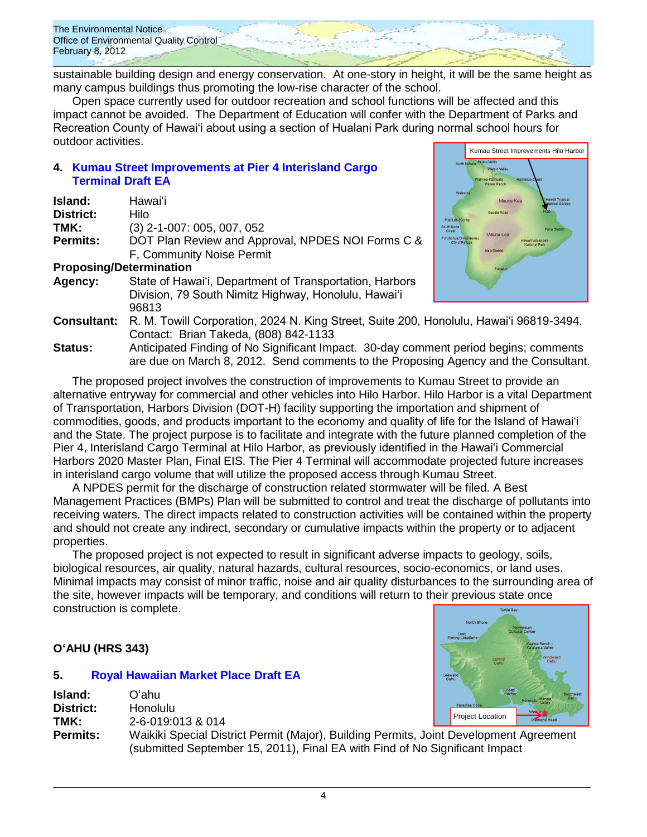The Environmental Notice Office of Environmental Quality Control February 8, 2012

sustainable building design and energy conservation. At one-story in height, it will be the same height as many campus buildings thus promoting the low-rise character of the school.

Open space currently used for outdoor recreation and school functions will be affected and this impact cannot be avoided. The Department of Education will confer with the Department of Parks and Recreation County of Hawai'i about using a section of Hualani Park during normal school hours for outdoor activities.

# **4. [Kumau Street Improvements at Pier 4 Interisland Cargo](http://oeqc.doh.hawaii.gov/Shared%20Documents/EA_and_EIS_Online_Library/Hawaii/2010s/2012-02-08-DEA-Kumau-Street-Improments-Pier-4-Interisland-Cargo-Terminal.pdf)  [Terminal](http://oeqc.doh.hawaii.gov/Shared%20Documents/EA_and_EIS_Online_Library/Hawaii/2010s/2012-02-08-DEA-Kumau-Street-Improments-Pier-4-Interisland-Cargo-Terminal.pdf) Draft EA**

| Island:                        | Hawai'i                                                 |
|--------------------------------|---------------------------------------------------------|
| <b>District:</b>               | Hilo                                                    |
| TMK:                           | (3) 2-1-007: 005, 007, 052                              |
| <b>Permits:</b>                | DOT Plan Review and Approval, NPDES NOI Forms C &       |
|                                | F, Community Noise Permit                               |
| <b>Proposing/Determination</b> |                                                         |
| Agency:                        | State of Hawai'i, Department of Transportation, Harbors |
|                                | Division, 79 South Nimitz Highway, Honolulu, Hawai'i    |
|                                | 96813                                                   |
|                                |                                                         |



- **Consultant:** R. M. Towill Corporation, 2024 N. King Street, Suite 200, Honolulu, Hawai'i 96819-3494. Contact: Brian Takeda, (808) 842-1133
- **Status:** Anticipated Finding of No Significant Impact. 30-day comment period begins; comments are due on March 8, 2012. Send comments to the Proposing Agency and the Consultant.

The proposed project involves the construction of improvements to Kumau Street to provide an alternative entryway for commercial and other vehicles into Hilo Harbor. Hilo Harbor is a vital Department of Transportation, Harbors Division (DOT-H) facility supporting the importation and shipment of commodities, goods, and products important to the economy and quality of life for the Island of Hawai'i and the State. The project purpose is to facilitate and integrate with the future planned completion of the Pier 4, Interisland Cargo Terminal at Hilo Harbor, as previously identified in the Hawai'i Commercial Harbors 2020 Master Plan, Final EIS. The Pier 4 Terminal will accommodate projected future increases in interisland cargo volume that will utilize the proposed access through Kumau Street.

A NPDES permit for the discharge of construction related stormwater will be filed. A Best Management Practices (BMPs) Plan will be submitted to control and treat the discharge of pollutants into receiving waters. The direct impacts related to construction activities will be contained within the property and should not create any indirect, secondary or cumulative impacts within the property or to adjacent properties.

The proposed project is not expected to result in significant adverse impacts to geology, soils, biological resources, air quality, natural hazards, cultural resources, socio-economics, or land uses. Minimal impacts may consist of minor traffic, noise and air quality disturbances to the surrounding area of the site, however impacts will be temporary, and conditions will return to their previous state once construction is complete. Turtle Ray

# **OʻAHU (HRS 343)**

### **5. [Royal Hawaiian Market Place](http://oeqc.doh.hawaii.gov/Shared%20Documents/EA_and_EIS_Online_Library/Oahu/2010s/2012-02-08-DEA-New-Royal-Hawaiian-Market-Place.pdf) Draft EA**

| Island:          | Oʻahu.                                                                                 | Pearl<br>Harbor         | Southeast |
|------------------|----------------------------------------------------------------------------------------|-------------------------|-----------|
| <b>District:</b> | <b>Honolulu</b>                                                                        | Paradise Cove           |           |
| TMK:             | 2-6-019:013 & 014                                                                      | <b>Project Location</b> |           |
| Permits:         | Waikiki Special District Permit (Major), Building Permits, Joint Development Agreement |                         |           |
|                  | (submitted September 15, 2011), Final EA with Find of No Significant Impact            |                         |           |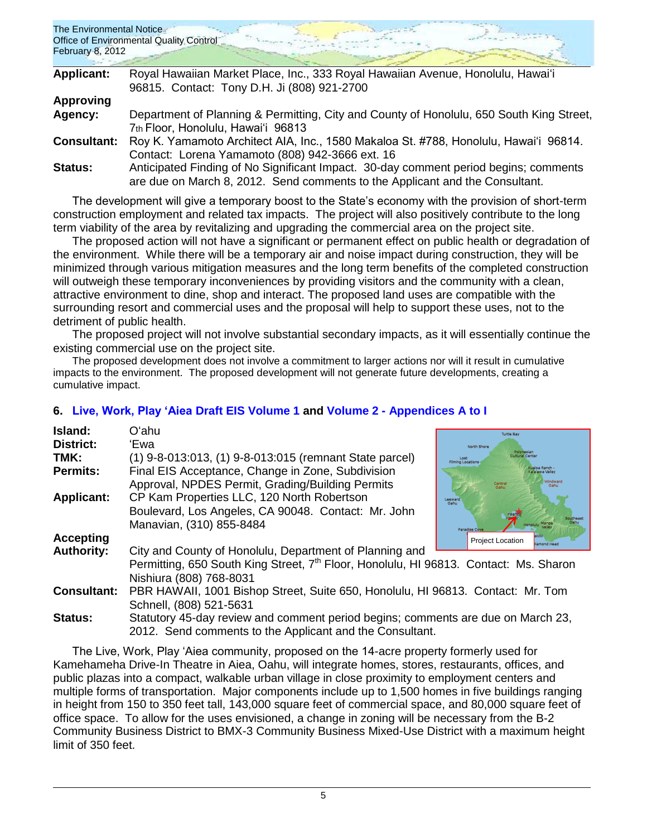| The Environmental Notice<br><b>February 8, 2012</b> | <b>Office of Environmental Quality Control</b>                                           |
|-----------------------------------------------------|------------------------------------------------------------------------------------------|
| <b>Applicant:</b>                                   | Royal Hawaiian Market Place, Inc., 333 Royal Hawaiian Avenue, Honolulu, Hawai'i          |
|                                                     | 96815. Contact: Tony D.H. Ji (808) 921-2700                                              |
| <b>Approving</b>                                    |                                                                                          |
| Agency:                                             | Department of Planning & Permitting, City and County of Honolulu, 650 South King Street, |
|                                                     | 7th Floor, Honolulu, Hawai'i 96813                                                       |
| <b>Consultant:</b>                                  | Roy K. Yamamoto Architect AIA, Inc., 1580 Makaloa St. #788, Honolulu, Hawai'i 96814.     |

Contact: Lorena Yamamoto (808) 942-3666 ext. 16 **Status:** Anticipated Finding of No Significant Impact. 30-day comment period begins; comments are due on March 8, 2012. Send comments to the Applicant and the Consultant.

The development will give a temporary boost to the State's economy with the provision of short-term construction employment and related tax impacts. The project will also positively contribute to the long term viability of the area by revitalizing and upgrading the commercial area on the project site.

The proposed action will not have a significant or permanent effect on public health or degradation of the environment. While there will be a temporary air and noise impact during construction, they will be minimized through various mitigation measures and the long term benefits of the completed construction will outweigh these temporary inconveniences by providing visitors and the community with a clean, attractive environment to dine, shop and interact. The proposed land uses are compatible with the surrounding resort and commercial uses and the proposal will help to support these uses, not to the detriment of public health.

The proposed project will not involve substantial secondary impacts, as it will essentially continue the existing commercial use on the project site.

The proposed development does not involve a commitment to larger actions nor will it result in cumulative impacts to the environment. The proposed development will not generate future developments, creating a cumulative impact.

### **Island:** Oʻahu Turtle Bay **District:** ʻEwa **TMK:** (1) 9-8-013:013, (1) 9-8-013:015 (remnant State parcel) **Permits:** Final EIS Acceptance, Change in Zone, Subdivision Approval, NPDES Permit, Grading/Building Permits **Applicant:** CP Kam Properties LLC, 120 North Robertson Boulevard, Los Angeles, CA 90048. Contact: Mr. John Manavian, (310) 855-8484 **Accepting** Project Location **Authority:** City and County of Honolulu, Department of Planning and Permitting, 650 South King Street, 7<sup>th</sup> Floor, Honolulu, HI 96813. Contact: Ms. Sharon Nishiura (808) 768-8031 **Consultant:** PBR HAWAII, 1001 Bishop Street, Suite 650, Honolulu, HI 96813. Contact: Mr. Tom Schnell, (808) 521-5631 **Status:** Statutory 45-day review and comment period begins; comments are due on March 23, 2012. Send comments to the Applicant and the Consultant.

### **6. [Live, Work, Play 'Aiea](http://oeqc.doh.hawaii.gov/Shared%20Documents/EA_and_EIS_Online_Library/Oahu/2010s/2012-02-08-DEIS-Live-Work-Play-Aiea-Volume-1.pdf) Draft EIS Volume 1 and Volume 2 - [Appendices A](http://oeqc.doh.hawaii.gov/Shared%20Documents/EA_and_EIS_Online_Library/Oahu/2010s/2012-02-08-DEIS-Live-Work-Play-Aiea-Volume-2-Appendices-A-to-I.pdf) to I**

The Live, Work, Play 'Aiea community, proposed on the 14-acre property formerly used for Kamehameha Drive-In Theatre in Aiea, Oahu, will integrate homes, stores, restaurants, offices, and public plazas into a compact, walkable urban village in close proximity to employment centers and multiple forms of transportation. Major components include up to 1,500 homes in five buildings ranging in height from 150 to 350 feet tall, 143,000 square feet of commercial space, and 80,000 square feet of office space. To allow for the uses envisioned, a change in zoning will be necessary from the B-2 Community Business District to BMX-3 Community Business Mixed-Use District with a maximum height limit of 350 feet.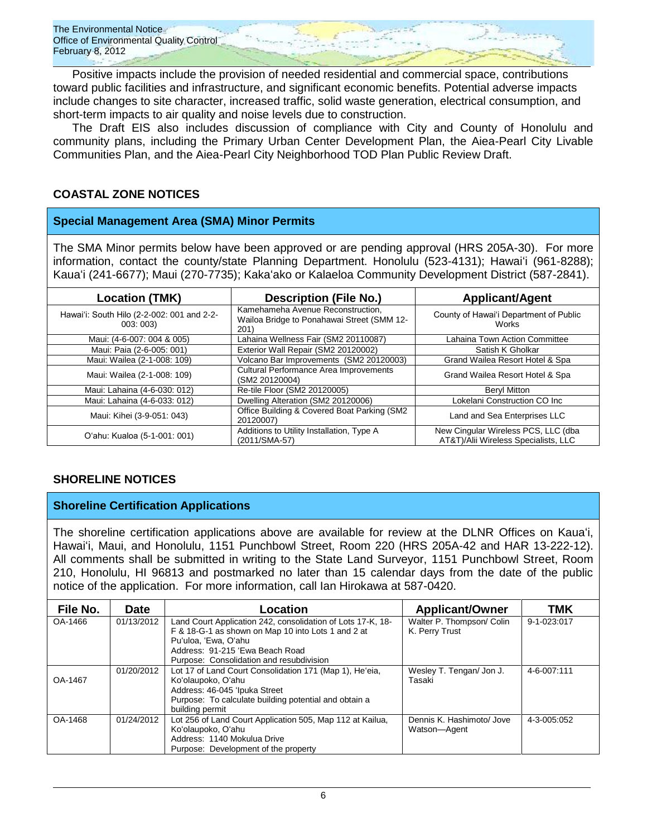Positive impacts include the provision of needed residential and commercial space, contributions toward public facilities and infrastructure, and significant economic benefits. Potential adverse impacts include changes to site character, increased traffic, solid waste generation, electrical consumption, and short-term impacts to air quality and noise levels due to construction.

The Draft EIS also includes discussion of compliance with City and County of Honolulu and community plans, including the Primary Urban Center Development Plan, the Aiea-Pearl City Livable Communities Plan, and the Aiea-Pearl City Neighborhood TOD Plan Public Review Draft.

# **COASTAL ZONE NOTICES**

# **Special Management Area (SMA) Minor Permits**

The SMA Minor permits below have been approved or are pending approval (HRS 205A-30). For more information, contact the county/state Planning Department. Honolulu (523-4131); Hawaiʻi (961-8288); Kauaʻi (241-6677); Maui (270-7735); Kakaʻako or Kalaeloa Community Development District (587-2841).

| <b>Location (TMK)</b>                                 | <b>Description (File No.)</b>                                                           | <b>Applicant/Agent</b>                                                      |  |
|-------------------------------------------------------|-----------------------------------------------------------------------------------------|-----------------------------------------------------------------------------|--|
| Hawai'i: South Hilo (2-2-002: 001 and 2-2-<br>003:003 | Kamehameha Avenue Reconstruction,<br>Wailoa Bridge to Ponahawai Street (SMM 12-<br>201) | County of Hawai'i Department of Public<br>Works                             |  |
| Maui: (4-6-007: 004 & 005)                            | Lahaina Wellness Fair (SM2 20110087)                                                    | Lahaina Town Action Committee                                               |  |
| Maui: Paia (2-6-005: 001)                             | Exterior Wall Repair (SM2 20120002)                                                     | Satish K Gholkar                                                            |  |
| Maui: Wailea (2-1-008: 109)                           | Volcano Bar Improvements (SM2 20120003)                                                 | Grand Wailea Resort Hotel & Spa                                             |  |
| Maui: Wailea (2-1-008: 109)                           | <b>Cultural Performance Area Improvements</b><br>(SM2 20120004)                         | Grand Wailea Resort Hotel & Spa                                             |  |
| Maui: Lahaina (4-6-030: 012)                          | Re-tile Floor (SM2 20120005)                                                            | <b>Beryl Mitton</b>                                                         |  |
| Maui: Lahaina (4-6-033: 012)                          | Dwelling Alteration (SM2 20120006)                                                      | Lokelani Construction CO Inc                                                |  |
| Maui: Kihei (3-9-051: 043)                            | Office Building & Covered Boat Parking (SM2<br>20120007)                                | Land and Sea Enterprises LLC                                                |  |
| O'ahu: Kualoa (5-1-001: 001)                          | Additions to Utility Installation, Type A<br>(2011/SMA-57)                              | New Cingular Wireless PCS, LLC (dba<br>AT&T)/Alii Wireless Specialists, LLC |  |

# **SHORELINE NOTICES**

### **Shoreline Certification Applications**

The shoreline certification applications above are available for review at the DLNR Offices on Kauaʻi, Hawaiʻi, Maui, and Honolulu, 1151 Punchbowl Street, Room 220 (HRS 205A-42 and HAR 13-222-12). All comments shall be submitted in writing to the State Land Surveyor, 1151 Punchbowl Street, Room 210, Honolulu, HI 96813 and postmarked no later than 15 calendar days from the date of the public notice of the application. For more information, call Ian Hirokawa at 587-0420.

| File No. | <b>Date</b> | Location                                                    | <b>Applicant/Owner</b>    | <b>TMK</b>  |
|----------|-------------|-------------------------------------------------------------|---------------------------|-------------|
| OA-1466  | 01/13/2012  | Land Court Application 242, consolidation of Lots 17-K, 18- | Walter P. Thompson/ Colin | 9-1-023:017 |
|          |             | F & 18-G-1 as shown on Map 10 into Lots 1 and 2 at          | K. Perry Trust            |             |
|          |             | Pu'uloa, 'Ewa, O'ahu                                        |                           |             |
|          |             | Address: 91-215 'Ewa Beach Road                             |                           |             |
|          |             | Purpose: Consolidation and resubdivision                    |                           |             |
|          | 01/20/2012  | Lot 17 of Land Court Consolidation 171 (Map 1), He'eia,     | Wesley T. Tengan/ Jon J.  | 4-6-007:111 |
| OA-1467  |             | Koʻolaupoko, Oʻahu                                          | Tasaki                    |             |
|          |             | Address: 46-045 'Ipuka Street                               |                           |             |
|          |             | Purpose: To calculate building potential and obtain a       |                           |             |
|          |             | building permit                                             |                           |             |
| OA-1468  | 01/24/2012  | Lot 256 of Land Court Application 505, Map 112 at Kailua,   | Dennis K. Hashimoto/ Jove | 4-3-005:052 |
|          |             | Koʻolaupoko, Oʻahu                                          | Watson-Agent              |             |
|          |             | Address: 1140 Mokulua Drive                                 |                           |             |
|          |             | Purpose: Development of the property                        |                           |             |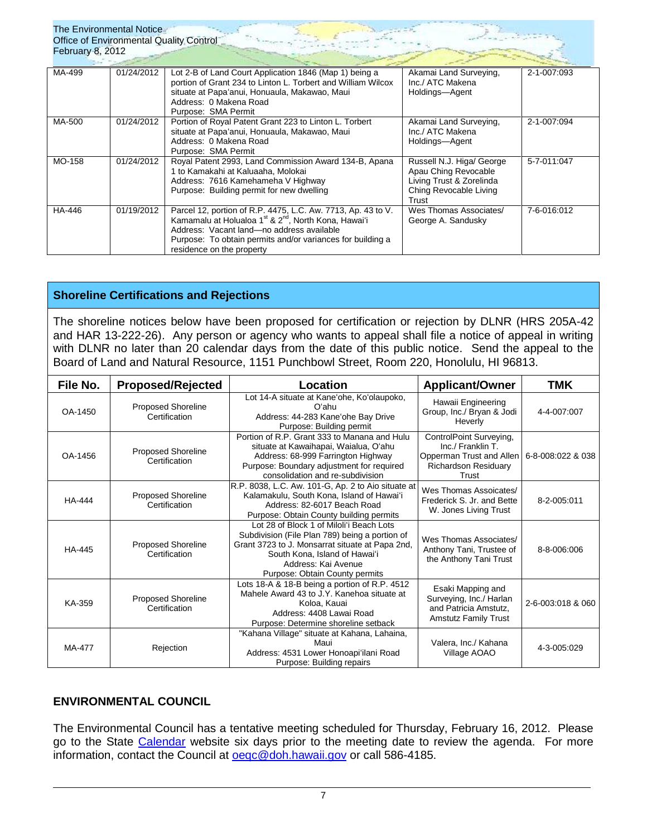| The Environmental Notice<br>Office of Environmental Quality Control<br><b>February 8, 2012</b> |            |                                                                                                                                                                                                                                                                                      |                                                                                                                  |             |  |  |
|------------------------------------------------------------------------------------------------|------------|--------------------------------------------------------------------------------------------------------------------------------------------------------------------------------------------------------------------------------------------------------------------------------------|------------------------------------------------------------------------------------------------------------------|-------------|--|--|
| MA-499                                                                                         | 01/24/2012 | Lot 2-B of Land Court Application 1846 (Map 1) being a<br>portion of Grant 234 to Linton L. Torbert and William Wilcox<br>situate at Papa'anui, Honuaula, Makawao, Maui<br>Address: 0 Makena Road<br>Purpose: SMA Permit                                                             | Akamai Land Surveying,<br>Inc./ ATC Makena<br>Holdings-Agent                                                     | 2-1-007:093 |  |  |
| MA-500                                                                                         | 01/24/2012 | Portion of Royal Patent Grant 223 to Linton L. Torbert<br>situate at Papa'anui, Honuaula, Makawao, Maui<br>Address: 0 Makena Road<br>Purpose: SMA Permit                                                                                                                             | Akamai Land Surveying,<br>Inc./ ATC Makena<br>Holdings-Agent                                                     | 2-1-007:094 |  |  |
| MO-158                                                                                         | 01/24/2012 | Royal Patent 2993, Land Commission Award 134-B, Apana<br>1 to Kamakahi at Kaluaaha, Molokai<br>Address: 7616 Kamehameha V Highway<br>Purpose: Building permit for new dwelling                                                                                                       | Russell N.J. Higa/ George<br>Apau Ching Revocable<br>Living Trust & Zorelinda<br>Ching Revocable Living<br>Trust | 5-7-011:047 |  |  |
| HA-446                                                                                         | 01/19/2012 | Parcel 12, portion of R.P. 4475, L.C. Aw. 7713, Ap. 43 to V.<br>Kamamalu at Holualoa 1 <sup>st</sup> & 2 <sup>nd</sup> , North Kona, Hawai'i<br>Address: Vacant land-no address available<br>Purpose: To obtain permits and/or variances for building a<br>residence on the property | Wes Thomas Associates/<br>George A. Sandusky                                                                     | 7-6-016:012 |  |  |

# **Shoreline Certifications and Rejections**

The shoreline notices below have been proposed for certification or rejection by DLNR (HRS 205A-42 and HAR 13-222-26). Any person or agency who wants to appeal shall file a notice of appeal in writing with DLNR no later than 20 calendar days from the date of this public notice. Send the appeal to the Board of Land and Natural Resource, 1151 Punchbowl Street, Room 220, Honolulu, HI 96813.

| File No.      | <b>Proposed/Rejected</b>                   | Location                                                                                                                                                                                                                                | <b>Applicant/Owner</b>                                                                                           | <b>TMK</b>        |
|---------------|--------------------------------------------|-----------------------------------------------------------------------------------------------------------------------------------------------------------------------------------------------------------------------------------------|------------------------------------------------------------------------------------------------------------------|-------------------|
| OA-1450       | <b>Proposed Shoreline</b><br>Certification | Lot 14-A situate at Kane'ohe, Ko'olaupoko,<br>Oʻahu<br>Address: 44-283 Kane'ohe Bay Drive<br>Purpose: Building permit                                                                                                                   | Hawaii Engineering<br>Group, Inc./ Bryan & Jodi<br>Heverly                                                       | 4-4-007:007       |
| OA-1456       | <b>Proposed Shoreline</b><br>Certification | Portion of R.P. Grant 333 to Manana and Hulu<br>situate at Kawaihapai, Waialua, O'ahu<br>Address: 68-999 Farrington Highway<br>Purpose: Boundary adjustment for required<br>consolidation and re-subdivision                            | ControlPoint Surveying,<br>Inc./ Franklin T.<br>Opperman Trust and Allen<br><b>Richardson Residuary</b><br>Trust | 6-8-008:022 & 038 |
| <b>HA-444</b> | <b>Proposed Shoreline</b><br>Certification | R.P. 8038, L.C. Aw. 101-G, Ap. 2 to Aio situate at<br>Kalamakulu, South Kona, Island of Hawai'i<br>Address: 82-6017 Beach Road<br>Purpose: Obtain County building permits                                                               | Wes Thomas Assoicates/<br>Frederick S. Jr. and Bette<br>W. Jones Living Trust                                    | 8-2-005:011       |
| HA-445        | Proposed Shoreline<br>Certification        | Lot 28 of Block 1 of Miloli'i Beach Lots<br>Subdivision (File Plan 789) being a portion of<br>Grant 3723 to J. Monsarrat situate at Papa 2nd,<br>South Kona, Island of Hawai'i<br>Address: Kai Avenue<br>Purpose: Obtain County permits | Wes Thomas Associates/<br>Anthony Tani, Trustee of<br>the Anthony Tani Trust                                     | 8-8-006:006       |
| KA-359        | <b>Proposed Shoreline</b><br>Certification | Lots 18-A & 18-B being a portion of R.P. 4512<br>Mahele Award 43 to J.Y. Kanehoa situate at<br>Koloa, Kauai<br>Address: 4408 Lawai Road<br>Purpose: Determine shoreline setback                                                         | Esaki Mapping and<br>Surveying, Inc./ Harlan<br>and Patricia Amstutz.<br><b>Amstutz Family Trust</b>             | 2-6-003:018 & 060 |
| MA-477        | Rejection                                  | "Kahana Village" situate at Kahana, Lahaina,<br>Maui<br>Address: 4531 Lower Honoapi'ilani Road<br>Purpose: Building repairs                                                                                                             | Valera, Inc./ Kahana<br>Village AOAO                                                                             | 4-3-005:029       |

# **ENVIRONMENTAL COUNCIL**

The Environmental Council has a tentative meeting scheduled for Thursday, February 16, 2012. Please go to the State [Calendar](http://calendar.ehawaii.gov/calendar/html/event) website six days prior to the meeting date to review the agenda. For more information, contact the Council at oegc@doh.hawaii.gov or call 586-4185.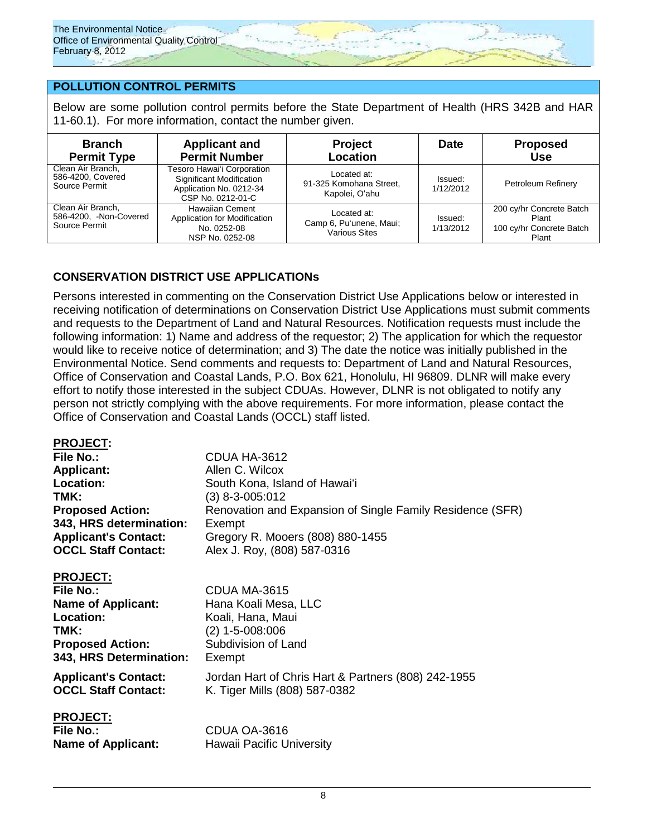

# **POLLUTION CONTROL PERMITS**

Below are some pollution control permits before the State Department of Health (HRS 342B and HAR 11-60.1). For more information, contact the number given.

| <b>Branch</b><br><b>Permit Type</b>                          | <b>Applicant and</b><br><b>Permit Number</b>                                                           | <b>Project</b><br>Location                               | <b>Date</b>          | <b>Proposed</b><br>Use                                                 |
|--------------------------------------------------------------|--------------------------------------------------------------------------------------------------------|----------------------------------------------------------|----------------------|------------------------------------------------------------------------|
| Clean Air Branch,<br>586-4200, Covered<br>Source Permit      | Tesoro Hawai'i Corporation<br>Significant Modification<br>Application No. 0212-34<br>CSP No. 0212-01-C | Located at:<br>91-325 Komohana Street,<br>Kapolei, O'ahu | Issued:<br>1/12/2012 | Petroleum Refinery                                                     |
| Clean Air Branch,<br>586-4200, -Non-Covered<br>Source Permit | <b>Hawaiian Cement</b><br>Application for Modification<br>No. 0252-08<br>NSP No. 0252-08               | Located at:<br>Camp 6, Pu'unene, Maui;<br>Various Sites  | Issued:<br>1/13/2012 | 200 cy/hr Concrete Batch<br>Plant<br>100 cy/hr Concrete Batch<br>Plant |

# **CONSERVATION DISTRICT USE APPLICATIONs**

Persons interested in commenting on the Conservation District Use Applications below or interested in receiving notification of determinations on Conservation District Use Applications must submit comments and requests to the Department of Land and Natural Resources. Notification requests must include the following information: 1) Name and address of the requestor; 2) The application for which the requestor would like to receive notice of determination; and 3) The date the notice was initially published in the Environmental Notice. Send comments and requests to: Department of Land and Natural Resources, Office of Conservation and Coastal Lands, P.O. Box 621, Honolulu, HI 96809. DLNR will make every effort to notify those interested in the subject CDUAs. However, DLNR is not obligated to notify any person not strictly complying with the above requirements. For more information, please contact the Office of Conservation and Coastal Lands (OCCL) staff listed.

## **PROJECT:**

| File No.:                                                                                                                            | CDUA HA-3612                                                                                                    |
|--------------------------------------------------------------------------------------------------------------------------------------|-----------------------------------------------------------------------------------------------------------------|
| <b>Applicant:</b>                                                                                                                    | Allen C. Wilcox                                                                                                 |
| Location:                                                                                                                            | South Kona, Island of Hawai'i                                                                                   |
| TMK:                                                                                                                                 | (3) 8-3-005:012                                                                                                 |
| <b>Proposed Action:</b>                                                                                                              | Renovation and Expansion of Single Family Residence (SFR)                                                       |
| 343, HRS determination:                                                                                                              | Exempt                                                                                                          |
| <b>Applicant's Contact:</b>                                                                                                          | Gregory R. Mooers (808) 880-1455                                                                                |
| <b>OCCL Staff Contact:</b>                                                                                                           | Alex J. Roy, (808) 587-0316                                                                                     |
| <b>PROJECT:</b><br>File No.:<br><b>Name of Applicant:</b><br>Location:<br>TMK:<br><b>Proposed Action:</b><br>343, HRS Determination: | CDUA MA-3615<br>Hana Koali Mesa, LLC<br>Koali, Hana, Maui<br>$(2)$ 1-5-008:006<br>Subdivision of Land<br>Exempt |
| <b>Applicant's Contact:</b>                                                                                                          | Jordan Hart of Chris Hart & Partners (808) 242-1955                                                             |
| <b>OCCL Staff Contact:</b>                                                                                                           | K. Tiger Mills (808) 587-0382                                                                                   |
| <b>PROJECT:</b><br><b>File No.:</b>                                                                                                  | CDUA OA-3616                                                                                                    |

**Name of Applicant:** Hawaii Pacific University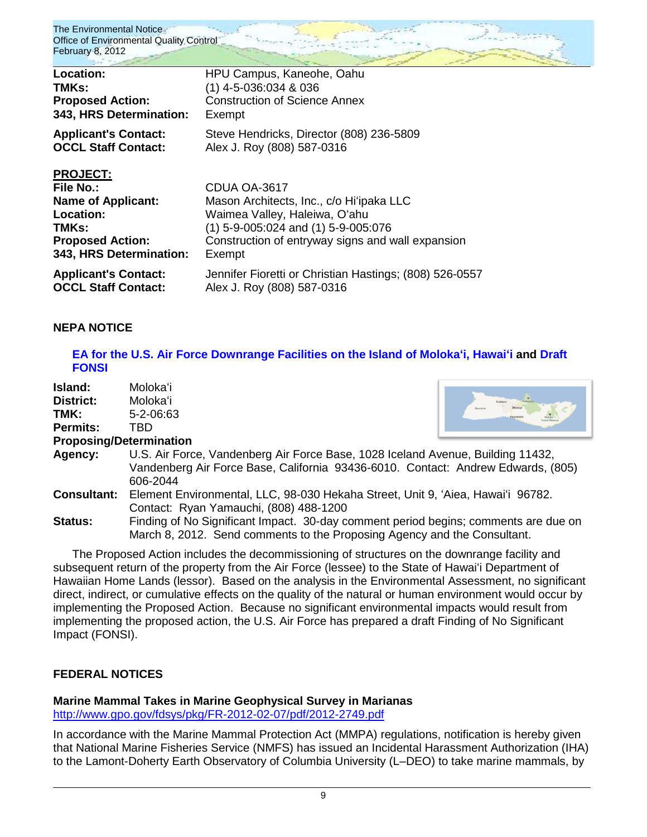| Location:                                                                                                                             | HPU Campus, Kaneohe, Oahu                                                                                                                                                                           |
|---------------------------------------------------------------------------------------------------------------------------------------|-----------------------------------------------------------------------------------------------------------------------------------------------------------------------------------------------------|
| TMKs:                                                                                                                                 | $(1)$ 4-5-036:034 & 036                                                                                                                                                                             |
| <b>Proposed Action:</b>                                                                                                               | <b>Construction of Science Annex</b>                                                                                                                                                                |
| 343, HRS Determination:                                                                                                               | Exempt                                                                                                                                                                                              |
| <b>Applicant's Contact:</b>                                                                                                           | Steve Hendricks, Director (808) 236-5809                                                                                                                                                            |
| <b>OCCL Staff Contact:</b>                                                                                                            | Alex J. Roy (808) 587-0316                                                                                                                                                                          |
| <b>PROJECT:</b><br>File No.:<br><b>Name of Applicant:</b><br>Location:<br>TMKs:<br><b>Proposed Action:</b><br>343, HRS Determination: | CDUA OA-3617<br>Mason Architects, Inc., c/o Hi'ipaka LLC<br>Waimea Valley, Haleiwa, O'ahu<br>$(1)$ 5-9-005:024 and $(1)$ 5-9-005:076<br>Construction of entryway signs and wall expansion<br>Exempt |
| <b>Applicant's Contact:</b>                                                                                                           | Jennifer Fioretti or Christian Hastings; (808) 526-0557                                                                                                                                             |
| <b>OCCL Staff Contact:</b>                                                                                                            | Alex J. Roy (808) 587-0316                                                                                                                                                                          |

### **NEPA NOTICE**

### **[EA for the U.S. Air Force Downrange Facilities on the](http://oeqc.doh.hawaii.gov/Shared%20Documents/EA_and_EIS_Online_Library/NEPA%20and%20Other%20Documents/2012-02-08-NEPA-EA-Air-Force-Downrange-Facilities-at-Molokai-Hawaii.pdf) Island of Molokaʻi, Hawaiʻi and [Draft](http://oeqc.doh.hawaii.gov/Shared%20Documents/EA_and_EIS_Online_Library/NEPA%20and%20Other%20Documents/2012-02-08-NEPA-Draft-FONSI-Air-Force-Downrange-Facilities-at-Molokai-Hawaii.pdf)  [FONSI](http://oeqc.doh.hawaii.gov/Shared%20Documents/EA_and_EIS_Online_Library/NEPA%20and%20Other%20Documents/2012-02-08-NEPA-Draft-FONSI-Air-Force-Downrange-Facilities-at-Molokai-Hawaii.pdf)**

**Island:** Molokaʻi **District:** Molokaʻi **TMK:** 5-2-06:63 **Permits:** TBD

### **Proposing/Determination**



- **Agency:** U.S. Air Force, Vandenberg Air Force Base, 1028 Iceland Avenue, Building 11432, Vandenberg Air Force Base, California 93436-6010. Contact: Andrew Edwards, (805) 606-2044
- **Consultant:** Element Environmental, LLC, 98-030 Hekaha Street, Unit 9, ʻAiea, Hawaiʻi 96782. Contact: Ryan Yamauchi, (808) 488-1200

**Status:** Finding of No Significant Impact. 30-day comment period begins; comments are due on March 8, 2012. Send comments to the Proposing Agency and the Consultant.

The Proposed Action includes the decommissioning of structures on the downrange facility and subsequent return of the property from the Air Force (lessee) to the State of Hawaiʻi Department of Hawaiian Home Lands (lessor). Based on the analysis in the Environmental Assessment, no significant direct, indirect, or cumulative effects on the quality of the natural or human environment would occur by implementing the Proposed Action. Because no significant environmental impacts would result from implementing the proposed action, the U.S. Air Force has prepared a draft Finding of No Significant Impact (FONSI).

### **FEDERAL NOTICES**

# **Marine Mammal Takes in Marine Geophysical Survey in Marianas**

<http://www.gpo.gov/fdsys/pkg/FR-2012-02-07/pdf/2012-2749.pdf>

In accordance with the Marine Mammal Protection Act (MMPA) regulations, notification is hereby given that National Marine Fisheries Service (NMFS) has issued an Incidental Harassment Authorization (IHA) to the Lamont-Doherty Earth Observatory of Columbia University (L–DEO) to take marine mammals, by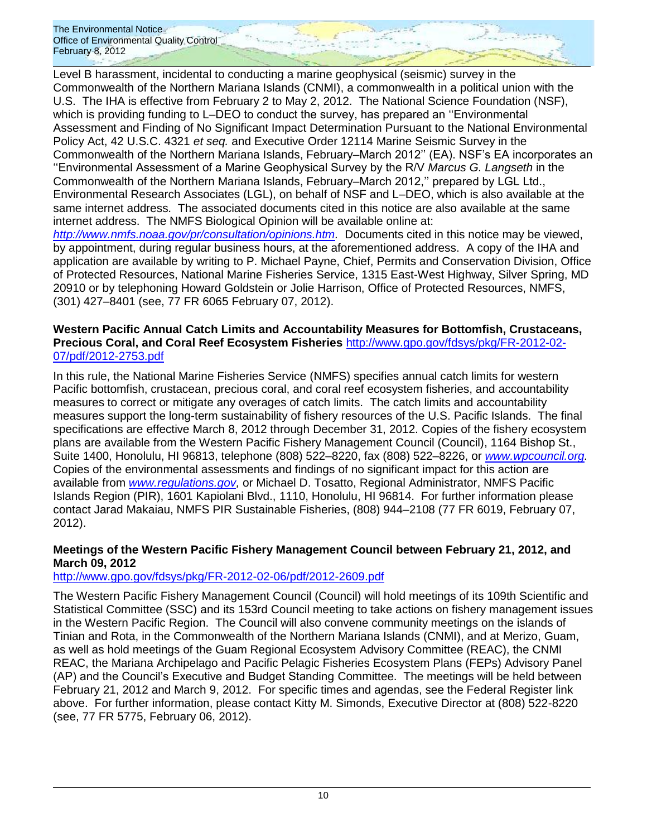Level B harassment, incidental to conducting a marine geophysical (seismic) survey in the Commonwealth of the Northern Mariana Islands (CNMI), a commonwealth in a political union with the U.S. The IHA is effective from February 2 to May 2, 2012. The National Science Foundation (NSF), which is providing funding to L–DEO to conduct the survey, has prepared an ''Environmental Assessment and Finding of No Significant Impact Determination Pursuant to the National Environmental Policy Act, 42 U.S.C. 4321 *et seq.* and Executive Order 12114 Marine Seismic Survey in the Commonwealth of the Northern Mariana Islands, February–March 2012'' (EA). NSF's EA incorporates an ''Environmental Assessment of a Marine Geophysical Survey by the R/V *Marcus G. Langseth* in the Commonwealth of the Northern Mariana Islands, February–March 2012,'' prepared by LGL Ltd., Environmental Research Associates (LGL), on behalf of NSF and L–DEO, which is also available at the same internet address. The associated documents cited in this notice are also available at the same internet address. The NMFS Biological Opinion will be available online at:

*[http://www.nmfs.noaa.gov/pr/consultation/opinions.htm.](http://www.nmfs.noaa.gov/pr/consultation/opinions.htm)* Documents cited in this notice may be viewed, by appointment, during regular business hours, at the aforementioned address. A copy of the IHA and application are available by writing to P. Michael Payne, Chief, Permits and Conservation Division, Office of Protected Resources, National Marine Fisheries Service, 1315 East-West Highway, Silver Spring, MD 20910 or by telephoning Howard Goldstein or Jolie Harrison, Office of Protected Resources, NMFS, (301) 427–8401 (see, 77 FR 6065 February 07, 2012).

### **Western Pacific Annual Catch Limits and Accountability Measures for Bottomfish, Crustaceans, Precious Coral, and Coral Reef Ecosystem Fisheries** [http://www.gpo.gov/fdsys/pkg/FR-2012-02-](http://www.gpo.gov/fdsys/pkg/FR-2012-02-07/pdf/2012-2753.pdf) [07/pdf/2012-2753.pdf](http://www.gpo.gov/fdsys/pkg/FR-2012-02-07/pdf/2012-2753.pdf)

In this rule, the National Marine Fisheries Service (NMFS) specifies annual catch limits for western Pacific bottomfish, crustacean, precious coral, and coral reef ecosystem fisheries, and accountability measures to correct or mitigate any overages of catch limits. The catch limits and accountability measures support the long-term sustainability of fishery resources of the U.S. Pacific Islands. The final specifications are effective March 8, 2012 through December 31, 2012. Copies of the fishery ecosystem plans are available from the Western Pacific Fishery Management Council (Council), 1164 Bishop St., Suite 1400, Honolulu, HI 96813, telephone (808) 522–8220, fax (808) 522–8226, or *[www.wpcouncil.org.](http://www.wpcouncil.org/)*  Copies of the environmental assessments and findings of no significant impact for this action are available from *[www.regulations.gov,](http://www.regulations.gov/)* or Michael D. Tosatto, Regional Administrator, NMFS Pacific Islands Region (PIR), 1601 Kapiolani Blvd., 1110, Honolulu, HI 96814. For further information please contact Jarad Makaiau, NMFS PIR Sustainable Fisheries, (808) 944–2108 (77 FR 6019, February 07, 2012).

# **Meetings of the Western Pacific Fishery Management Council between February 21, 2012, and March 09, 2012**

# <http://www.gpo.gov/fdsys/pkg/FR-2012-02-06/pdf/2012-2609.pdf>

The Western Pacific Fishery Management Council (Council) will hold meetings of its 109th Scientific and Statistical Committee (SSC) and its 153rd Council meeting to take actions on fishery management issues in the Western Pacific Region. The Council will also convene community meetings on the islands of Tinian and Rota, in the Commonwealth of the Northern Mariana Islands (CNMI), and at Merizo, Guam, as well as hold meetings of the Guam Regional Ecosystem Advisory Committee (REAC), the CNMI REAC, the Mariana Archipelago and Pacific Pelagic Fisheries Ecosystem Plans (FEPs) Advisory Panel (AP) and the Council's Executive and Budget Standing Committee. The meetings will be held between February 21, 2012 and March 9, 2012. For specific times and agendas, see the Federal Register link above. For further information, please contact Kitty M. Simonds, Executive Director at (808) 522-8220 (see, 77 FR 5775, February 06, 2012).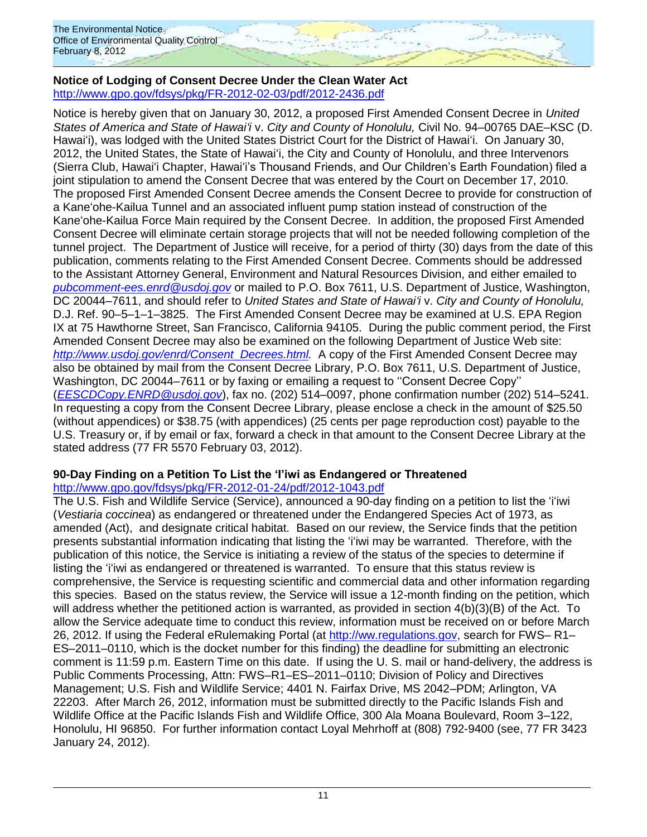### **Notice of Lodging of Consent Decree Under the Clean Water Act** <http://www.gpo.gov/fdsys/pkg/FR-2012-02-03/pdf/2012-2436.pdf>

Notice is hereby given that on January 30, 2012, a proposed First Amended Consent Decree in *United States of America and State of Hawaiʻi* v. *City and County of Honolulu,* Civil No. 94–00765 DAE–KSC (D. Hawaiʻi), was lodged with the United States District Court for the District of Hawaiʻi. On January 30, 2012, the United States, the State of Hawaiʻi, the City and County of Honolulu, and three Intervenors (Sierra Club, Hawai'i Chapter, Hawai'i's Thousand Friends, and Our Children's Earth Foundation) filed a joint stipulation to amend the Consent Decree that was entered by the Court on December 17, 2010. The proposed First Amended Consent Decree amends the Consent Decree to provide for construction of a Kane'ohe-Kailua Tunnel and an associated influent pump station instead of construction of the Kane'ohe-Kailua Force Main required by the Consent Decree. In addition, the proposed First Amended Consent Decree will eliminate certain storage projects that will not be needed following completion of the tunnel project. The Department of Justice will receive, for a period of thirty (30) days from the date of this publication, comments relating to the First Amended Consent Decree. Comments should be addressed to the Assistant Attorney General, Environment and Natural Resources Division, and either emailed to *[pubcomment-ees.enrd@usdoj.gov](mailto:pubcomment-ees.enrd@usdoj.gov)* or mailed to P.O. Box 7611, U.S. Department of Justice, Washington, DC 20044–7611, and should refer to *United States and State of Hawaiʻi* v. *City and County of Honolulu,*  D.J. Ref. 90–5–1–1–3825. The First Amended Consent Decree may be examined at U.S. EPA Region IX at 75 Hawthorne Street, San Francisco, California 94105. During the public comment period, the First Amended Consent Decree may also be examined on the following Department of Justice Web site: *[http://www.usdoj.gov/enrd/Consent](http://www.usdoj.gov/enrd/Consent_Decrees.html)*\_*Decrees.html.* A copy of the First Amended Consent Decree may also be obtained by mail from the Consent Decree Library, P.O. Box 7611, U.S. Department of Justice, Washington, DC 20044–7611 or by faxing or emailing a request to ''Consent Decree Copy'' (*[EESCDCopy.ENRD@usdoj.gov](mailto:EESCDCopy.ENRD@usdoj.gov)*), fax no. (202) 514–0097, phone confirmation number (202) 514–5241. In requesting a copy from the Consent Decree Library, please enclose a check in the amount of \$25.50 (without appendices) or \$38.75 (with appendices) (25 cents per page reproduction cost) payable to the U.S. Treasury or, if by email or fax, forward a check in that amount to the Consent Decree Library at the stated address (77 FR 5570 February 03, 2012).

# **90-Day Finding on a Petition To List the 'I'iwi as Endangered or Threatened**

<http://www.gpo.gov/fdsys/pkg/FR-2012-01-24/pdf/2012-1043.pdf>

The U.S. Fish and Wildlife Service (Service), announced a 90-day finding on a petition to list the 'i'iwi (*Vestiaria coccinea*) as endangered or threatened under the Endangered Species Act of 1973, as amended (Act), and designate critical habitat. Based on our review, the Service finds that the petition presents substantial information indicating that listing the ʻiʻiwi may be warranted. Therefore, with the publication of this notice, the Service is initiating a review of the status of the species to determine if listing the 'iʻiwi as endangered or threatened is warranted. To ensure that this status review is comprehensive, the Service is requesting scientific and commercial data and other information regarding this species. Based on the status review, the Service will issue a 12-month finding on the petition, which will address whether the petitioned action is warranted, as provided in section 4(b)(3)(B) of the Act. To allow the Service adequate time to conduct this review, information must be received on or before March 26, 2012. If using the Federal eRulemaking Portal (at [http://ww.regulations.gov,](http://ww.regulations.gov/) search for FWS– R1– ES–2011–0110, which is the docket number for this finding) the deadline for submitting an electronic comment is 11:59 p.m. Eastern Time on this date. If using the U. S. mail or hand-delivery, the address is Public Comments Processing, Attn: FWS–R1–ES–2011–0110; Division of Policy and Directives Management; U.S. Fish and Wildlife Service; 4401 N. Fairfax Drive, MS 2042–PDM; Arlington, VA 22203. After March 26, 2012, information must be submitted directly to the Pacific Islands Fish and Wildlife Office at the Pacific Islands Fish and Wildlife Office, 300 Ala Moana Boulevard, Room 3–122, Honolulu, HI 96850. For further information contact Loyal Mehrhoff at (808) 792-9400 (see, 77 FR 3423 January 24, 2012).